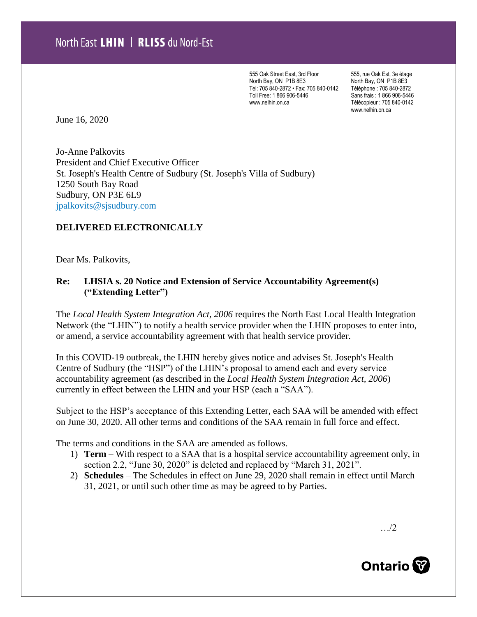555 Oak Street East, 3rd Floor North Bay, ON P1B 8E3 Tel: 705 840-2872 • Fax: 705 840-0142 Toll Free: 1 866 906-5446 www.nelhin.on.ca

555, rue Oak Est, 3e étage North Bay, ON P1B 8E3 Téléphone : 705 840-2872 Sans frais : 1 866 906-5446 Télécopieur : 705 840-0142 www.nelhin.on.ca

June 16, 2020

Jo-Anne Palkovits President and Chief Executive Officer St. Joseph's Health Centre of Sudbury (St. Joseph's Villa of Sudbury) 1250 South Bay Road Sudbury, ON P3E 6L9 [jpalkovits@sjsudbury.com](mailto:jpalkovits@sjsudbury.com)

## **DELIVERED ELECTRONICALLY**

Dear Ms. Palkovits,

## **Re: LHSIA s. 20 Notice and Extension of Service Accountability Agreement(s) ("Extending Letter")**

The *Local Health System Integration Act, 2006* requires the North East Local Health Integration Network (the "LHIN") to notify a health service provider when the LHIN proposes to enter into, or amend, a service accountability agreement with that health service provider.

In this COVID-19 outbreak, the LHIN hereby gives notice and advises St. Joseph's Health Centre of Sudbury (the "HSP") of the LHIN's proposal to amend each and every service accountability agreement (as described in the *Local Health System Integration Act, 2006*) currently in effect between the LHIN and your HSP (each a "SAA").

Subject to the HSP's acceptance of this Extending Letter, each SAA will be amended with effect on June 30, 2020. All other terms and conditions of the SAA remain in full force and effect.

The terms and conditions in the SAA are amended as follows.

- 1) **Term** With respect to a SAA that is a hospital service accountability agreement only, in section 2.2, "June 30, 2020" is deleted and replaced by "March 31, 2021".
- 2) **Schedules**  The Schedules in effect on June 29, 2020 shall remain in effect until March 31, 2021, or until such other time as may be agreed to by Parties.

…/2

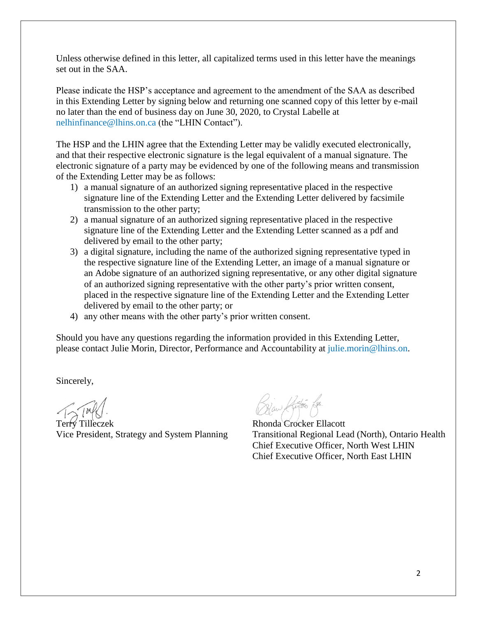Unless otherwise defined in this letter, all capitalized terms used in this letter have the meanings set out in the SAA.

Please indicate the HSP's acceptance and agreement to the amendment of the SAA as described in this Extending Letter by signing below and returning one scanned copy of this letter by e-mail no later than the end of business day on June 30, 2020, to Crystal Labelle at [nelhinfinance@lhins.on.ca](mailto:nelhinfinance@lhins.on.ca) (the "LHIN Contact").

The HSP and the LHIN agree that the Extending Letter may be validly executed electronically, and that their respective electronic signature is the legal equivalent of a manual signature. The electronic signature of a party may be evidenced by one of the following means and transmission of the Extending Letter may be as follows:

- 1) a manual signature of an authorized signing representative placed in the respective signature line of the Extending Letter and the Extending Letter delivered by facsimile transmission to the other party;
- 2) a manual signature of an authorized signing representative placed in the respective signature line of the Extending Letter and the Extending Letter scanned as a pdf and delivered by email to the other party;
- 3) a digital signature, including the name of the authorized signing representative typed in the respective signature line of the Extending Letter, an image of a manual signature or an Adobe signature of an authorized signing representative, or any other digital signature of an authorized signing representative with the other party's prior written consent, placed in the respective signature line of the Extending Letter and the Extending Letter delivered by email to the other party; or
- 4) any other means with the other party's prior written consent.

Should you have any questions regarding the information provided in this Extending Letter, please contact Julie Morin, Director, Performance and Accountability at [julie.morin@lhins.on.](mailto:julie.morin@lhins.on)

Sincerely,

Terry Tilleczek Rhonda Crocker Ellacott

).<br>Blaw Kulos R

Vice President, Strategy and System Planning Transitional Regional Lead (North), Ontario Health Chief Executive Officer, North West LHIN Chief Executive Officer, North East LHIN